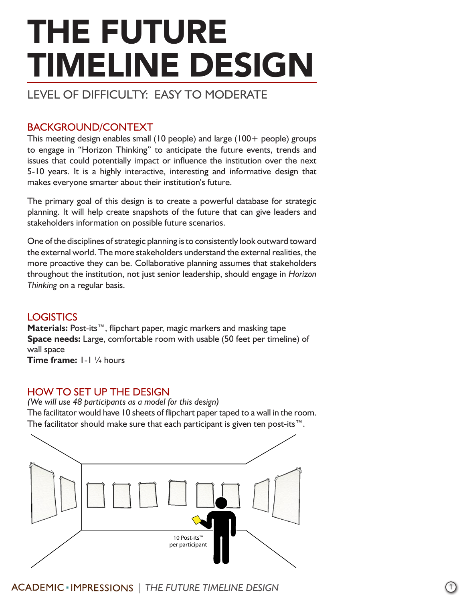# THE FUTURE **TIMELINE DESIGN**

Level of Difficulty: Easy to Moderate

## Background/Context

This meeting design enables small (10 people) and large (100+ people) groups to engage in "Horizon Thinking" to anticipate the future events, trends and issues that could potentially impact or influence the institution over the next 5-10 years. It is a highly interactive, interesting and informative design that makes everyone smarter about their institution's future.

The primary goal of this design is to create a powerful database for strategic planning. It will help create snapshots of the future that can give leaders and stakeholders information on possible future scenarios.

One of the disciplines of strategic planning is to consistently look outward toward the external world. The more stakeholders understand the external realities, the more proactive they can be. Collaborative planning assumes that stakeholders throughout the institution, not just senior leadership, should engage in *Horizon Thinking* on a regular basis.

# **LOGISTICS**

**Materials:** Post-its™, flipchart paper, magic markers and masking tape **Space needs:** Large, comfortable room with usable (50 feet per timeline) of wall space

**Time frame:** 1-1 ¼ hours

## How to set up the design

*(We will use 48 participants as a model for this design)* The facilitator would have 10 sheets of flipchart paper taped to a wall in the room. The facilitator should make sure that each participant is given ten post-its™.



# *| The Future Timeline Design* 1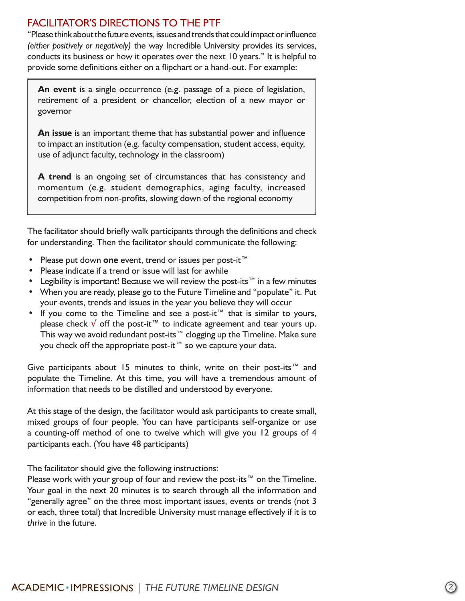### Facilitator's directions to the PTF

"Please think about the future events, issues and trends that could impact or influence *(either positively or negatively)* the way Incredible University provides its services, conducts its business or how it operates over the next 10 years." It is helpful to provide some definitions either on a flipchart or a hand-out. For example:

**An event** is a single occurrence (e.g. passage of a piece of legislation, retirement of a president or chancellor, election of a new mayor or governor

**An issue** is an important theme that has substantial power and influence to impact an institution (e.g. faculty compensation, student access, equity, use of adjunct faculty, technology in the classroom)

**A trend** is an ongoing set of circumstances that has consistency and momentum (e.g. student demographics, aging faculty, increased competition from non-profits, slowing down of the regional economy

The facilitator should briefly walk participants through the definitions and check for understanding. Then the facilitator should communicate the following:

- Please put down **one** event, trend or issues per post-it™
- Please indicate if a trend or issue will last for awhile
- Legibility is important! Because we will review the post-its™ in a few minutes
- When you are ready, please go to the Future Timeline and "populate" it. Put your events, trends and issues in the year you believe they will occur
- If you come to the Timeline and see a post-it™ that is similar to yours, please check  $√$  off the post-it™ to indicate agreement and tear yours up. This way we avoid redundant post-its™ clogging up the Timeline. Make sure you check off the appropriate post-it™ so we capture your data.

Give participants about 15 minutes to think, write on their post-its™ and populate the Timeline. At this time, you will have a tremendous amount of information that needs to be distilled and understood by everyone.

At this stage of the design, the facilitator would ask participants to create small, mixed groups of four people. You can have participants self-organize or use a counting-off method of one to twelve which will give you 12 groups of 4 participants each. (You have 48 participants)

The facilitator should give the following instructions:

Please work with your group of four and review the post-its™ on the Timeline. Your goal in the next 20 minutes is to search through all the information and "generally agree" on the three most important issues, events or trends (not 3 or each, three total) that Incredible University must manage effectively if it is to *thrive* in the future.